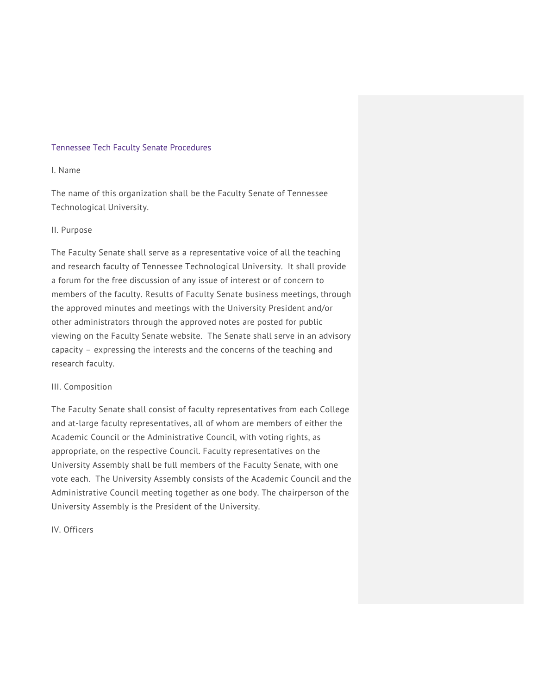### Tennessee Tech Faculty Senate Procedures

# I. Name

The name of this organization shall be the Faculty Senate of Tennessee Technological University.

## II. Purpose

The Faculty Senate shall serve as a representative voice of all the teaching and research faculty of Tennessee Technological University. It shall provide a forum for the free discussion of any issue of interest or of concern to members of the faculty. Results of Faculty Senate business meetings, through the approved minutes and meetings with the University President and/or other administrators through the approved notes are posted for public viewing on the Faculty Senate website. The Senate shall serve in an advisory capacity – expressing the interests and the concerns of the teaching and research faculty.

### III. Composition

The Faculty Senate shall consist of faculty representatives from each College and at-large faculty representatives, all of whom are members of either the Academic Council or the Administrative Council, with voting rights, as appropriate, on the respective Council. Faculty representatives on the University Assembly shall be full members of the Faculty Senate, with one vote each. The University Assembly consists of the Academic Council and the Administrative Council meeting together as one body. The chairperson of the University Assembly is the President of the University.

IV. Officers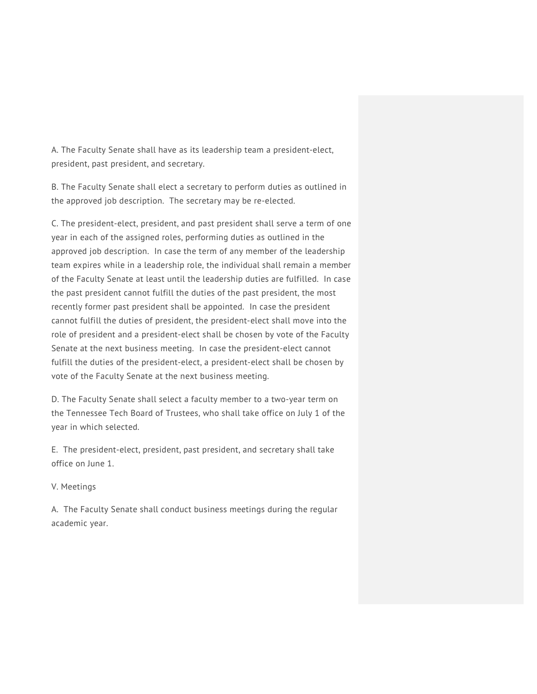A. The Faculty Senate shall have as its leadership team a president-elect, president, past president, and secretary.

B. The Faculty Senate shall elect a secretary to perform duties as outlined in the approved job description. The secretary may be re-elected.

C. The president-elect, president, and past president shall serve a term of one year in each of the assigned roles, performing duties as outlined in the approved job description. In case the term of any member of the leadership team expires while in a leadership role, the individual shall remain a member of the Faculty Senate at least until the leadership duties are fulfilled. In case the past president cannot fulfill the duties of the past president, the most recently former past president shall be appointed. In case the president cannot fulfill the duties of president, the president-elect shall move into the role of president and a president-elect shall be chosen by vote of the Faculty Senate at the next business meeting. In case the president-elect cannot fulfill the duties of the president-elect, a president-elect shall be chosen by vote of the Faculty Senate at the next business meeting.

D. The Faculty Senate shall select a faculty member to a two-year term on the Tennessee Tech Board of Trustees, who shall take office on July 1 of the year in which selected.

E. The president-elect, president, past president, and secretary shall take office on June 1.

# V. Meetings

A. The Faculty Senate shall conduct business meetings during the regular academic year.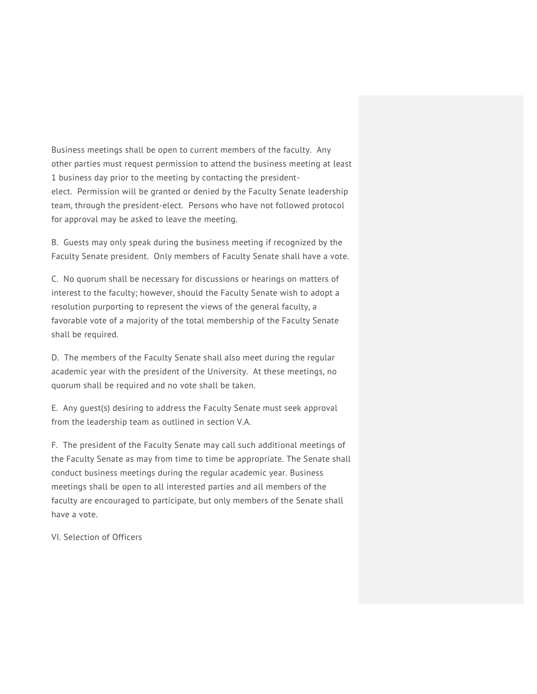Business meetings shall be open to current members of the faculty. Any other parties must request permission to attend the business meeting at least 1 business day prior to the meeting by contacting the presidentelect. Permission will be granted or denied by the Faculty Senate leadership team, through the president-elect. Persons who have not followed protocol for approval may be asked to leave the meeting.

B. Guests may only speak during the business meeting if recognized by the Faculty Senate president. Only members of Faculty Senate shall have a vote.

C. No quorum shall be necessary for discussions or hearings on matters of interest to the faculty; however, should the Faculty Senate wish to adopt a resolution purporting to represent the views of the general faculty, a favorable vote of a majority of the total membership of the Faculty Senate shall be required.

D. The members of the Faculty Senate shall also meet during the regular academic year with the president of the University. At these meetings, no quorum shall be required and no vote shall be taken.

E. Any guest(s) desiring to address the Faculty Senate must seek approval from the leadership team as outlined in section V.A.

F. The president of the Faculty Senate may call such additional meetings of the Faculty Senate as may from time to time be appropriate. The Senate shall conduct business meetings during the regular academic year. Business meetings shall be open to all interested parties and all members of the faculty are encouraged to participate, but only members of the Senate shall have a vote.

VI. Selection of Officers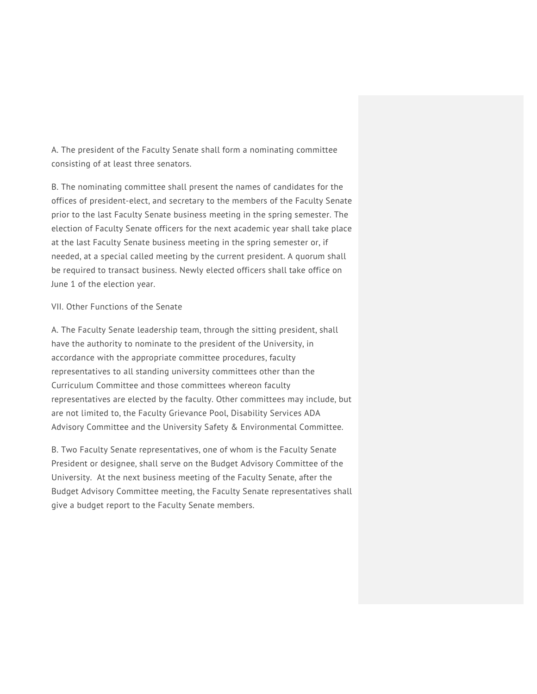A. The president of the Faculty Senate shall form a nominating committee consisting of at least three senators.

B. The nominating committee shall present the names of candidates for the offices of president-elect, and secretary to the members of the Faculty Senate prior to the last Faculty Senate business meeting in the spring semester. The election of Faculty Senate officers for the next academic year shall take place at the last Faculty Senate business meeting in the spring semester or, if needed, at a special called meeting by the current president. A quorum shall be required to transact business. Newly elected officers shall take office on June 1 of the election year.

## VII. Other Functions of the Senate

A. The Faculty Senate leadership team, through the sitting president, shall have the authority to nominate to the president of the University, in accordance with the appropriate committee procedures, faculty representatives to all standing university committees other than the Curriculum Committee and those committees whereon faculty representatives are elected by the faculty. Other committees may include, but are not limited to, the Faculty Grievance Pool, Disability Services ADA Advisory Committee and the University Safety & Environmental Committee.

B. Two Faculty Senate representatives, one of whom is the Faculty Senate President or designee, shall serve on the Budget Advisory Committee of the University. At the next business meeting of the Faculty Senate, after the Budget Advisory Committee meeting, the Faculty Senate representatives shall give a budget report to the Faculty Senate members.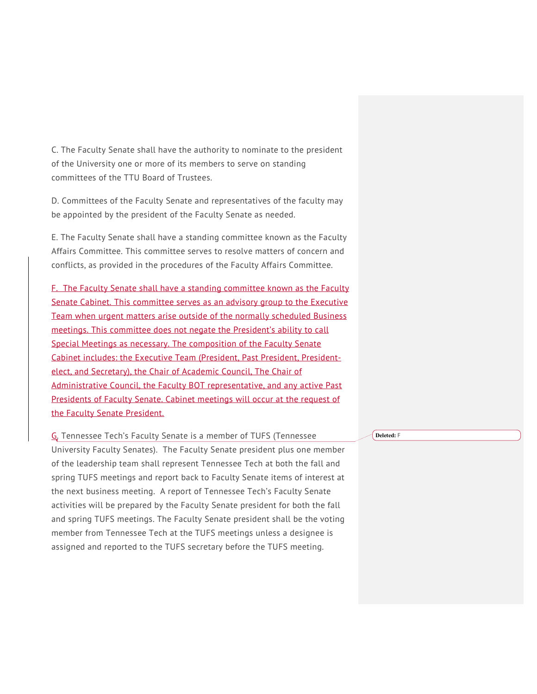C. The Faculty Senate shall have the authority to nominate to the president of the University one or more of its members to serve on standing committees of the TTU Board of Trustees.

D. Committees of the Faculty Senate and representatives of the faculty may be appointed by the president of the Faculty Senate as needed.

E. The Faculty Senate shall have a standing committee known as the Faculty Affairs Committee. This committee serves to resolve matters of concern and conflicts, as provided in the procedures of the Faculty Affairs Committee.

F. The Faculty Senate shall have a standing committee known as the Faculty Senate Cabinet. This committee serves as an advisory group to the Executive Team when urgent matters arise outside of the normally scheduled Business meetings. This committee does not negate the President's ability to call Special Meetings as necessary. The composition of the Faculty Senate Cabinet includes: the Executive Team (President, Past President, Presidentelect, and Secretary), the Chair of Academic Council, The Chair of Administrative Council, the Faculty BOT representative, and any active Past Presidents of Faculty Senate. Cabinet meetings will occur at the request of the Faculty Senate President.

G. Tennessee Tech's Faculty Senate is a member of TUFS (Tennessee University Faculty Senates). The Faculty Senate president plus one member of the leadership team shall represent Tennessee Tech at both the fall and spring TUFS meetings and report back to Faculty Senate items of interest at the next business meeting. A report of Tennessee Tech's Faculty Senate activities will be prepared by the Faculty Senate president for both the fall and spring TUFS meetings. The Faculty Senate president shall be the voting member from Tennessee Tech at the TUFS meetings unless a designee is assigned and reported to the TUFS secretary before the TUFS meeting.

**Deleted:** F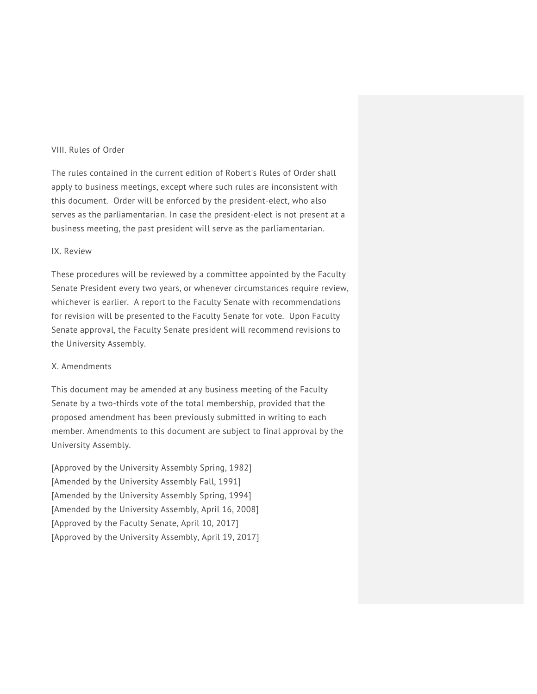#### VIII. Rules of Order

The rules contained in the current edition of Robert's Rules of Order shall apply to business meetings, except where such rules are inconsistent with this document. Order will be enforced by the president-elect, who also serves as the parliamentarian. In case the president-elect is not present at a business meeting, the past president will serve as the parliamentarian.

## IX. Review

These procedures will be reviewed by a committee appointed by the Faculty Senate President every two years, or whenever circumstances require review, whichever is earlier. A report to the Faculty Senate with recommendations for revision will be presented to the Faculty Senate for vote. Upon Faculty Senate approval, the Faculty Senate president will recommend revisions to the University Assembly.

## X. Amendments

This document may be amended at any business meeting of the Faculty Senate by a two-thirds vote of the total membership, provided that the proposed amendment has been previously submitted in writing to each member. Amendments to this document are subject to final approval by the University Assembly.

[Approved by the University Assembly Spring, 1982] [Amended by the University Assembly Fall, 1991] [Amended by the University Assembly Spring, 1994] [Amended by the University Assembly, April 16, 2008] [Approved by the Faculty Senate, April 10, 2017] [Approved by the University Assembly, April 19, 2017]